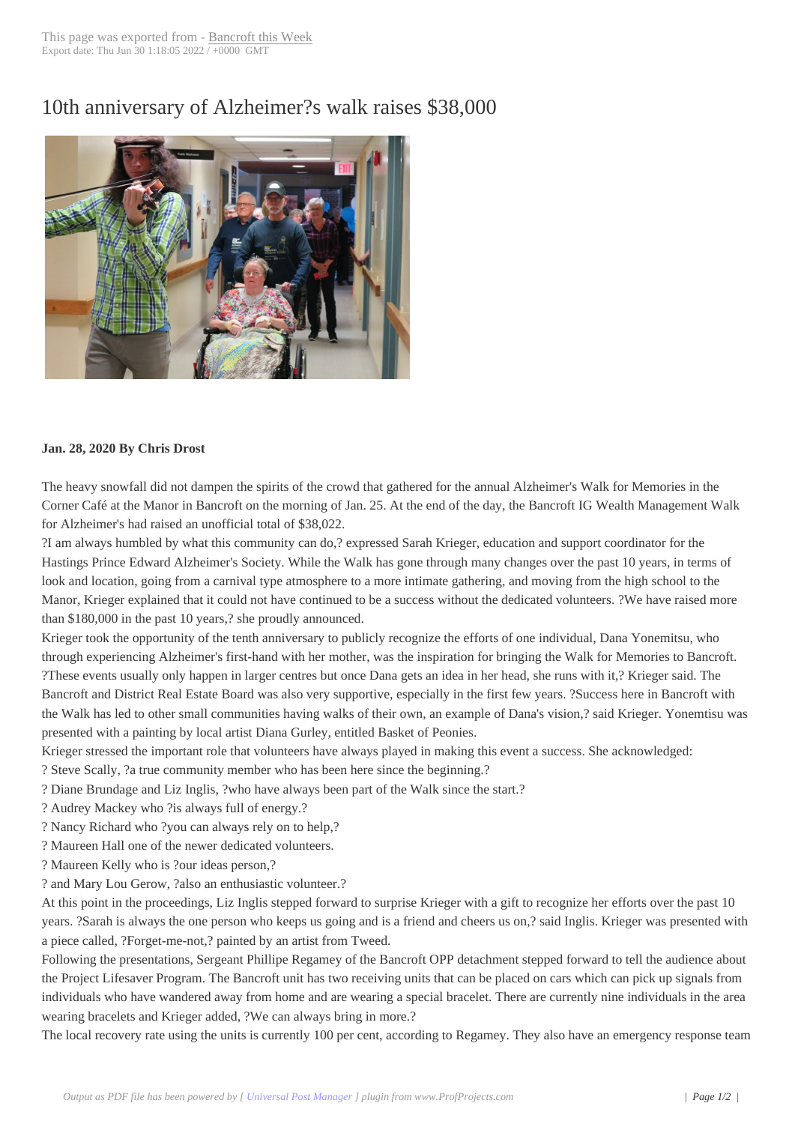## 10th anniversary of [Alzheimer?](http://www.bancroftthisweek.com/?p=10240)s walk raises \$38,000



## **Jan. 28, 2020 By Chris Drost**

The heavy snowfall did not dampen the spirits of the crowd that gathered for the annual Alzheimer's Walk for Memories in the Corner Café at the Manor in Bancroft on the morning of Jan. 25. At the end of the day, the Bancroft IG Wealth Management Walk for Alzheimer's had raised an unofficial total of \$38,022.

?I am always humbled by what this community can do,? expressed Sarah Krieger, education and support coordinator for the Hastings Prince Edward Alzheimer's Society. While the Walk has gone through many changes over the past 10 years, in terms of look and location, going from a carnival type atmosphere to a more intimate gathering, and moving from the high school to the Manor, Krieger explained that it could not have continued to be a success without the dedicated volunteers. ?We have raised more than \$180,000 in the past 10 years,? she proudly announced.

Krieger took the opportunity of the tenth anniversary to publicly recognize the efforts of one individual, Dana Yonemitsu, who through experiencing Alzheimer's first-hand with her mother, was the inspiration for bringing the Walk for Memories to Bancroft. ?These events usually only happen in larger centres but once Dana gets an idea in her head, she runs with it,? Krieger said. The Bancroft and District Real Estate Board was also very supportive, especially in the first few years. ?Success here in Bancroft with the Walk has led to other small communities having walks of their own, an example of Dana's vision,? said Krieger. Yonemtisu was presented with a painting by local artist Diana Gurley, entitled Basket of Peonies.

Krieger stressed the important role that volunteers have always played in making this event a success. She acknowledged:

? Steve Scally, ?a true community member who has been here since the beginning.?

? Diane Brundage and Liz Inglis, ?who have always been part of the Walk since the start.?

? Audrey Mackey who ?is always full of energy.?

? Nancy Richard who ?you can always rely on to help,?

? Maureen Hall one of the newer dedicated volunteers.

? Maureen Kelly who is ?our ideas person,?

? and Mary Lou Gerow, ?also an enthusiastic volunteer.?

At this point in the proceedings, Liz Inglis stepped forward to surprise Krieger with a gift to recognize her efforts over the past 10 years. ?Sarah is always the one person who keeps us going and is a friend and cheers us on,? said Inglis. Krieger was presented with a piece called, ?Forget-me-not,? painted by an artist from Tweed.

Following the presentations, Sergeant Phillipe Regamey of the Bancroft OPP detachment stepped forward to tell the audience about the Project Lifesaver Program. The Bancroft unit has two receiving units that can be placed on cars which can pick up signals from individuals who have wandered away from home and are wearing a special bracelet. There are currently nine individuals in the area wearing bracelets and Krieger added, ?We can always bring in more.?

The local recovery rate using the units is currently 100 per cent, according to Regamey. They also have an emergency response team